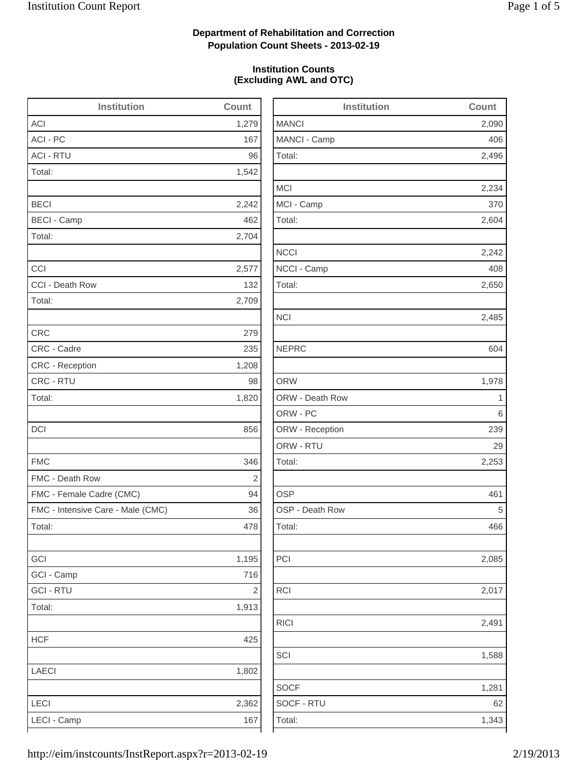2,496

2,234

2,604

2,242

2,650

2,485

2,253

2,085

1,588

# **Department of Rehabilitation and Correction Population Count Sheets - 2013-02-19**

### **Institution Counts (Excluding AWL and OTC)**

| <b>Institution</b>                | Count          | <b>Institution</b> | Count          |
|-----------------------------------|----------------|--------------------|----------------|
| <b>ACI</b>                        | 1,279          | <b>MANCI</b>       | 2,090          |
| ACI - PC                          | 167            | MANCI - Camp       | 406            |
| <b>ACI - RTU</b>                  | 96             | Total:             | 2,496          |
| Total:                            | 1,542          |                    |                |
|                                   |                | <b>MCI</b>         | 2,234          |
| <b>BECI</b>                       | 2,242          | MCI - Camp         | 370            |
| <b>BECI - Camp</b>                | 462            | Total:             | 2,604          |
| Total:                            | 2,704          |                    |                |
|                                   |                | <b>NCCI</b>        | 2,242          |
| CCI                               | 2,577          | NCCI - Camp        | 408            |
| CCI - Death Row                   | 132            | Total:             | 2,650          |
| Total:                            | 2,709          |                    |                |
|                                   |                | <b>NCI</b>         | 2,485          |
| <b>CRC</b>                        | 279            |                    |                |
| CRC - Cadre                       | 235            | <b>NEPRC</b>       | 604            |
| CRC - Reception                   | 1,208          |                    |                |
| CRC - RTU                         | 98             | <b>ORW</b>         | 1,978          |
| Total:                            | 1,820          | ORW - Death Row    | $\overline{1}$ |
|                                   |                | ORW - PC           | 6              |
| DCI                               | 856            | ORW - Reception    | 239            |
|                                   |                | ORW - RTU          | 29             |
| <b>FMC</b>                        | 346            | Total:             | 2,253          |
| FMC - Death Row                   | $\overline{2}$ |                    |                |
| FMC - Female Cadre (CMC)          | 94             | <b>OSP</b>         | 461            |
| FMC - Intensive Care - Male (CMC) | 36             | OSP - Death Row    | 5              |
| Total:                            | 478            | Total:             | 466            |
| GCI                               | 1,195          | PCI                | 2,085          |
| GCI - Camp                        | 716            |                    |                |
| <b>GCI - RTU</b>                  | $\sqrt{2}$     | <b>RCI</b>         | 2,017          |
| Total:                            | 1,913          |                    |                |
|                                   |                | <b>RICI</b>        | 2,491          |
| <b>HCF</b>                        | 425            |                    |                |
|                                   |                | SCI                | 1,588          |
| <b>LAECI</b>                      | 1,802          |                    |                |
|                                   |                | <b>SOCF</b>        | 1,281          |
| LECI                              | 2,362          | SOCF - RTU         | 62             |
| LECI - Camp                       | 167            | Total:             | 1,343          |

http://eim/instcounts/InstReport.aspx?r=2013-02-19 2/19/2013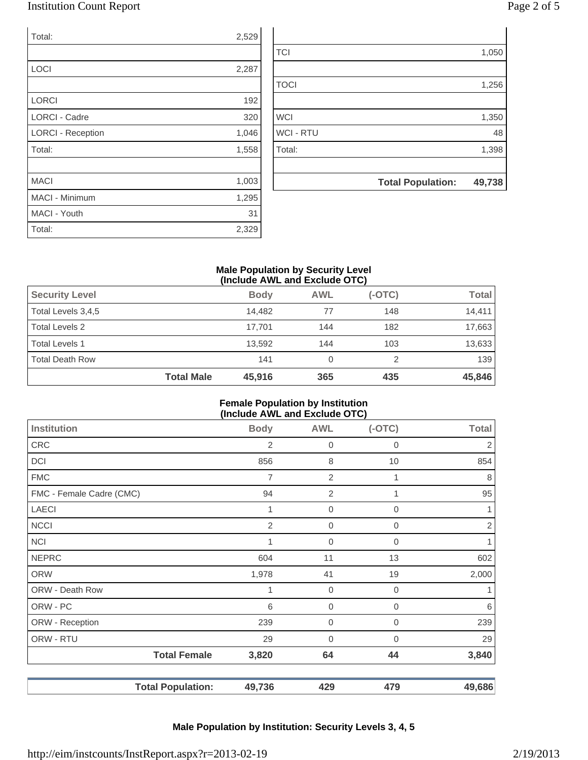## Institution Count Report Page 2 of 5

| Total:                   | 2,529 |
|--------------------------|-------|
|                          |       |
| <b>LOCI</b>              | 2,287 |
|                          |       |
| <b>LORCI</b>             | 192   |
| <b>LORCI - Cadre</b>     | 320   |
| <b>LORCI - Reception</b> | 1,046 |
| Total:                   | 1,558 |
|                          |       |
| <b>MACI</b>              | 1,003 |
| <b>MACI - Minimum</b>    | 1,295 |
| MACI - Youth             | 31    |
| Total:                   | 2,329 |

| <b>TCI</b>       |                          | 1,050  |
|------------------|--------------------------|--------|
|                  |                          |        |
| <b>TOCI</b>      |                          | 1,256  |
|                  |                          |        |
| <b>WCI</b>       |                          | 1,350  |
| <b>WCI - RTU</b> |                          | 48     |
| Total:           |                          | 1,398  |
|                  |                          |        |
|                  | <b>Total Population:</b> | 49,738 |

### **Male Population by Security Level (Include AWL and Exclude OTC)**

|                        | <b>Total Male</b> | 45,916      | 365        | 435      | 45,846       |
|------------------------|-------------------|-------------|------------|----------|--------------|
| <b>Total Death Row</b> |                   | 141         | 0          |          | 139          |
| <b>Total Levels 1</b>  |                   | 13,592      | 144        | 103      | 13,633       |
| Total Levels 2         |                   | 17,701      | 144        | 182      | 17,663       |
| Total Levels 3,4,5     |                   | 14.482      | 77         | 148      | 14.411       |
| <b>Security Level</b>  |                   | <b>Body</b> | <b>AWL</b> | $(-OTC)$ | <b>Total</b> |

### **Female Population by Institution (Include AWL and Exclude OTC)**

| <b>Institution</b>       | <b>Body</b> | <b>AWL</b>       | $(-OTC)$       | <b>Total</b> |
|--------------------------|-------------|------------------|----------------|--------------|
| CRC                      | 2           | 0                | 0              | 2            |
| DCI                      | 856         | 8                | 10             | 854          |
| <b>FMC</b>               | 7           | $\overline{2}$   | 1              | 8            |
| FMC - Female Cadre (CMC) | 94          | $\overline{2}$   | 1              | 95           |
| <b>LAECI</b>             | 1           | $\mathbf 0$      | $\overline{0}$ |              |
| <b>NCCI</b>              | 2           | $\mathbf 0$      | $\mathbf 0$    | 2            |
| <b>NCI</b>               | 1           | $\mathbf 0$      | $\mathbf 0$    |              |
| <b>NEPRC</b>             | 604         | 11               | 13             | 602          |
| <b>ORW</b>               | 1,978       | 41               | 19             | 2,000        |
| ORW - Death Row          | 1           | $\boldsymbol{0}$ | $\mathbf 0$    |              |
| ORW - PC                 | 6           | $\mathbf 0$      | $\mathbf 0$    | 6            |
| ORW - Reception          | 239         | $\mathbf 0$      | $\mathbf 0$    | 239          |
| ORW - RTU                | 29          | $\mathbf 0$      | $\mathbf 0$    | 29           |
| <b>Total Female</b>      | 3,820       | 64               | 44             | 3,840        |
| <b>Total Population:</b> | 49,736      | 429              | 479            | 49,686       |

# **Male Population by Institution: Security Levels 3, 4, 5**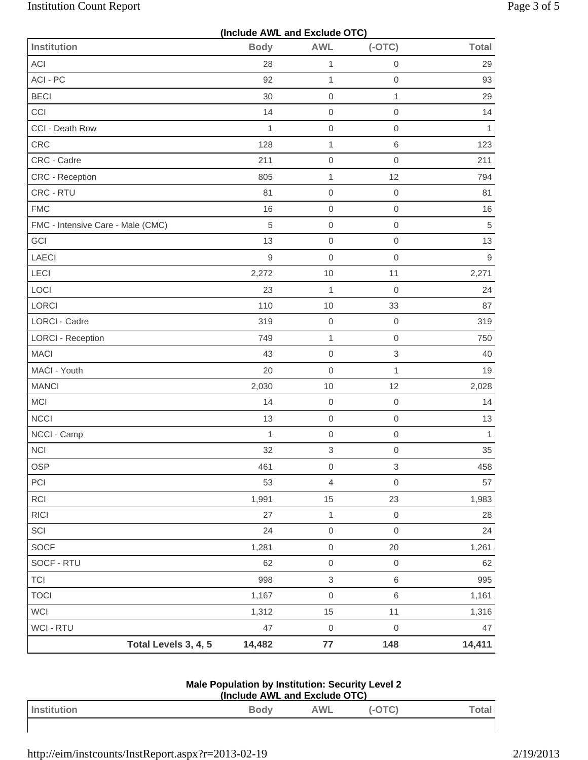| (Include AWL and Exclude OTC)     |                |                           |                     |              |  |  |
|-----------------------------------|----------------|---------------------------|---------------------|--------------|--|--|
| <b>Institution</b>                | <b>Body</b>    | <b>AWL</b>                | $(-OTC)$            | <b>Total</b> |  |  |
| ACI                               | 28             | 1                         | $\mathsf{O}\xspace$ | 29           |  |  |
| ACI - PC                          | 92             | $\mathbf{1}$              | $\mathsf{O}\xspace$ | 93           |  |  |
| <b>BECI</b>                       | 30             | $\boldsymbol{0}$          | $\mathbf{1}$        | 29           |  |  |
| CCI                               | 14             | $\boldsymbol{0}$          | $\mathsf{O}\xspace$ | 14           |  |  |
| CCI - Death Row                   | $\mathbf{1}$   | $\mathbf 0$               | $\mathsf{O}\xspace$ | $\mathbf{1}$ |  |  |
| CRC                               | 128            | $\mathbf{1}$              | 6                   | 123          |  |  |
| CRC - Cadre                       | 211            | $\mbox{O}$                | $\mathsf{O}\xspace$ | 211          |  |  |
| CRC - Reception                   | 805            | $\mathbf{1}$              | 12                  | 794          |  |  |
| CRC - RTU                         | 81             | $\boldsymbol{0}$          | $\,0\,$             | 81           |  |  |
| <b>FMC</b>                        | 16             | $\boldsymbol{0}$          | $\mathsf{O}\xspace$ | 16           |  |  |
| FMC - Intensive Care - Male (CMC) | 5              | $\boldsymbol{0}$          | $\mathsf{O}\xspace$ | 5            |  |  |
| GCI                               | 13             | $\mbox{O}$                | $\mathsf{O}\xspace$ | 13           |  |  |
| <b>LAECI</b>                      | $\overline{9}$ | $\mathbf 0$               | $\mathbf 0$         | $\mathsf g$  |  |  |
| LECI                              | 2,272          | 10                        | 11                  | 2,271        |  |  |
| LOCI                              | 23             | $\mathbf{1}$              | $\mathbf 0$         | 24           |  |  |
| LORCI                             | 110            | 10                        | 33                  | 87           |  |  |
| LORCI - Cadre                     | 319            | $\mbox{O}$                | $\,0\,$             | 319          |  |  |
| <b>LORCI - Reception</b>          | 749            | $\mathbf{1}$              | $\mathbf 0$         | 750          |  |  |
| <b>MACI</b>                       | 43             | $\boldsymbol{0}$          | $\,$ 3 $\,$         | 40           |  |  |
| MACI - Youth                      | 20             | $\mathbf 0$               | 1                   | 19           |  |  |
| <b>MANCI</b>                      | 2,030          | 10                        | 12                  | 2,028        |  |  |
| <b>MCI</b>                        | 14             | $\mbox{O}$                | $\mathbf 0$         | 14           |  |  |
| <b>NCCI</b>                       | 13             | $\boldsymbol{0}$          | $\mathsf{O}\xspace$ | 13           |  |  |
| NCCI - Camp                       | $\mathbf{1}$   | $\mbox{O}$                | $\mathsf{O}\xspace$ | $\mathbf{1}$ |  |  |
| <b>NCI</b>                        | 32             | $\,$ 3 $\,$               | $\mathsf{O}\xspace$ | 35           |  |  |
| <b>OSP</b>                        | 461            | $\mbox{O}$                | $\mathfrak{S}$      | 458          |  |  |
| PCI                               | 53             | $\overline{4}$            | $\mathsf{O}\xspace$ | 57           |  |  |
| RCI                               | 1,991          | 15                        | 23                  | 1,983        |  |  |
| RICI                              | 27             | $\mathbf{1}$              | $\mathsf{O}\xspace$ | 28           |  |  |
| SCI                               | 24             | $\mbox{O}$                | $\mathsf{O}\xspace$ | 24           |  |  |
| SOCF                              | 1,281          | $\mbox{O}$                | 20                  | 1,261        |  |  |
| SOCF - RTU                        | 62             | $\mbox{O}$                | $\mathsf{O}\xspace$ | 62           |  |  |
| <b>TCI</b>                        | 998            | $\ensuremath{\mathsf{3}}$ | $\,6$               | 995          |  |  |
| <b>TOCI</b>                       | 1,167          | $\boldsymbol{0}$          | 6                   | 1,161        |  |  |
| WCI                               | 1,312          | 15                        | 11                  | 1,316        |  |  |
| WCI - RTU                         | 47             | $\mathbf 0$               | $\mathsf{O}\xspace$ | 47           |  |  |
| Total Levels 3, 4, 5              | 14,482         | 77                        | 148                 | 14,411       |  |  |

#### **Male Population by Institution: Security Level 2 (Include AWL and Exclude OTC)**

| Inc | Body | ۹WL |  |
|-----|------|-----|--|
|     |      |     |  |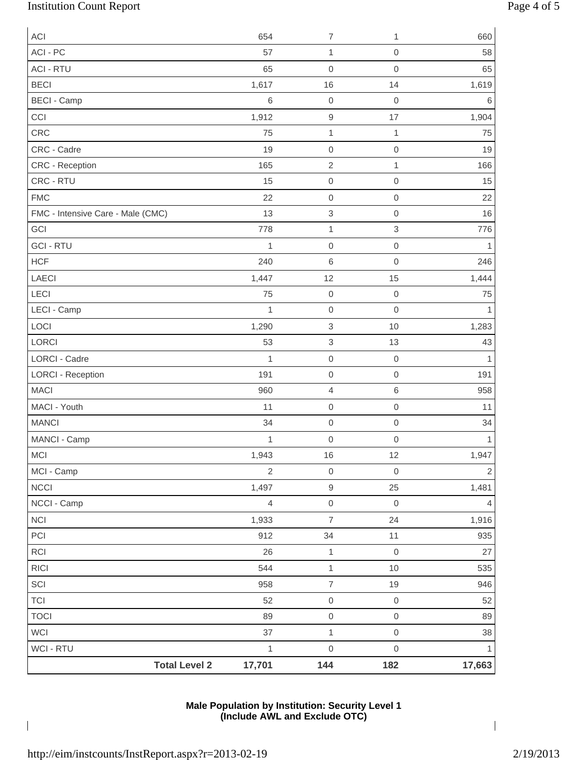# Institution Count Report Page 4 of 5

| <b>ACI</b>                           | 654            | $\overline{7}$           | 1                   | 660          |
|--------------------------------------|----------------|--------------------------|---------------------|--------------|
| ACI - PC                             | 57             | $\mathbf{1}$             | $\boldsymbol{0}$    | 58           |
| <b>ACI - RTU</b>                     | 65             | $\mathbf 0$              | $\mathsf{O}\xspace$ | 65           |
| <b>BECI</b>                          | 1,617          | 16                       | 14                  | 1,619        |
| <b>BECI - Camp</b>                   | 6              | $\mathbf 0$              | $\mathbf 0$         | 6            |
| CCI                                  | 1,912          | 9                        | 17                  | 1,904        |
| CRC                                  | 75             | $\mathbf{1}$             | $\mathbf{1}$        | 75           |
| CRC - Cadre                          | 19             | $\mathbf 0$              | $\boldsymbol{0}$    | 19           |
| CRC - Reception                      | 165            | $\sqrt{2}$               | $\mathbf{1}$        | 166          |
| CRC - RTU                            | 15             | 0                        | $\boldsymbol{0}$    | 15           |
| <b>FMC</b>                           | 22             | 0                        | $\boldsymbol{0}$    | 22           |
| FMC - Intensive Care - Male (CMC)    | 13             | 3                        | $\boldsymbol{0}$    | 16           |
| GCI                                  | 778            | 1                        | $\,$ 3 $\,$         | 776          |
| <b>GCI - RTU</b>                     | $\mathbf{1}$   | $\mathsf 0$              | $\mathbf 0$         | 1            |
| <b>HCF</b>                           | 240            | 6                        | $\mathsf{O}\xspace$ | 246          |
| LAECI                                | 1,447          | 12                       | 15                  | 1,444        |
| LECI                                 | 75             | 0                        | $\boldsymbol{0}$    | 75           |
| LECI - Camp                          | $\mathbf{1}$   | 0                        | $\mathsf{O}\xspace$ | 1            |
| LOCI                                 | 1,290          | $\,$ 3 $\,$              | 10                  | 1,283        |
| LORCI                                | 53             | 3                        | 13                  | 43           |
| <b>LORCI - Cadre</b>                 | $\mathbf{1}$   | 0                        | $\boldsymbol{0}$    | 1            |
| <b>LORCI - Reception</b>             | 191            | $\mathsf 0$              | $\boldsymbol{0}$    | 191          |
| <b>MACI</b>                          | 960            | 4                        | $\,$ 6 $\,$         | 958          |
| MACI - Youth                         | 11             | $\mathsf 0$              | $\mathbf 0$         | 11           |
| <b>MANCI</b>                         | 34             | 0                        | $\boldsymbol{0}$    | 34           |
| MANCI - Camp                         | $\mathbf 1$    | $\mathbf 0$              | $\mathbf 0$         | 1            |
| MCI                                  | 1,943          | 16                       | 12                  | 1,947        |
| MCI - Camp                           | $\overline{2}$ | $\mathsf{O}\xspace$      | $\mathbf 0$         | $\mathbf{2}$ |
| NCCI                                 | 1,497          | $\hbox{9}$               | 25                  | 1,481        |
| NCCI - Camp                          | $\overline{4}$ | $\mathsf{O}\xspace$      | $\boldsymbol{0}$    | 4            |
| $\sf NCI$                            | 1,933          | $\overline{\mathcal{I}}$ | 24                  | 1,916        |
| $\mathsf{PCI}$                       | 912            | 34                       | 11                  | 935          |
| RCI                                  | 26             | $\mathbf{1}$             | $\mathbf 0$         | 27           |
| $\ensuremath{\mathsf{R}\mathsf{IC}}$ | 544            | $\mathbf{1}$             | $10$                | 535          |
| SCI                                  | 958            | $\boldsymbol{7}$         | 19                  | 946          |
| <b>TCI</b>                           | 52             | $\mathsf{O}\xspace$      | $\mathbf 0$         | 52           |
| <b>TOCI</b>                          | 89             | $\mathsf{O}\xspace$      | $\mathbf 0$         | 89           |
| WCI                                  | 37             | $\mathbf{1}$             | $\mathbf 0$         | 38           |
| WCI - RTU                            | $\mathbf 1$    | $\mathsf{O}\xspace$      | $\mathbf 0$         | $\mathbf{1}$ |
| <b>Total Level 2</b>                 | 17,701         | 144                      | 182                 | 17,663       |

## **Male Population by Institution: Security Level 1 (Include AWL and Exclude OTC)**

 $\overline{1}$